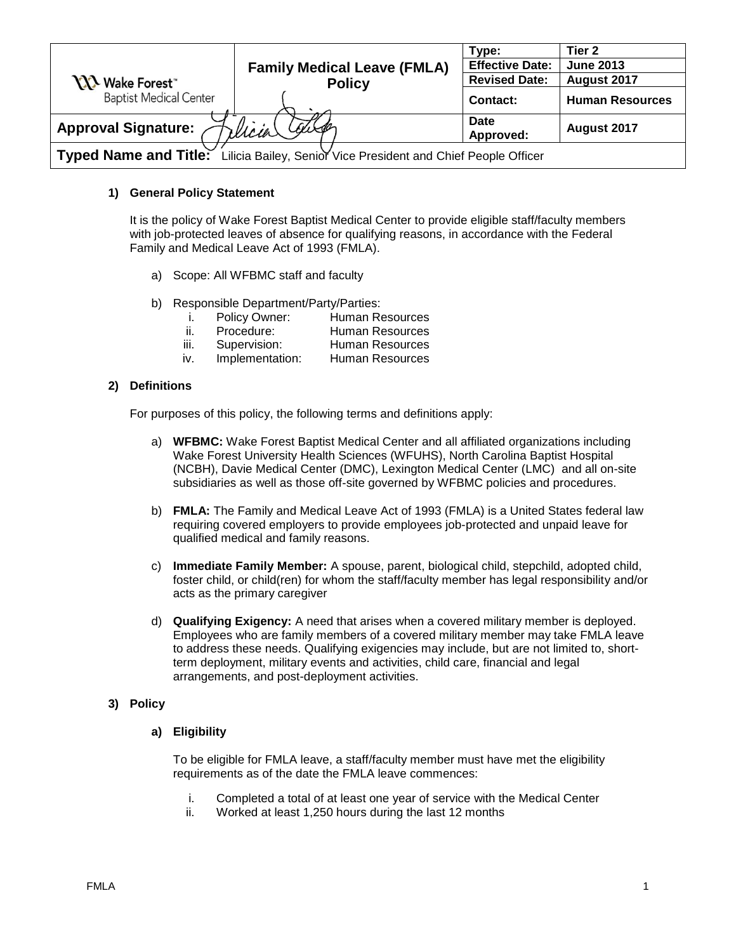|                                                                                      |                                    | Type:                    | Tier <sub>2</sub>      |  |
|--------------------------------------------------------------------------------------|------------------------------------|--------------------------|------------------------|--|
|                                                                                      | <b>Family Medical Leave (FMLA)</b> | <b>Effective Date:</b>   | <b>June 2013</b>       |  |
| <b>XXX</b> Wake Forest                                                               | <b>Policy</b>                      | <b>Revised Date:</b>     | August 2017            |  |
| <b>Baptist Medical Center</b>                                                        |                                    | <b>Contact:</b>          | <b>Human Resources</b> |  |
| <b>Approval Signature:</b>                                                           | Courge<br>rlicia                   | <b>Date</b><br>Approved: | August 2017            |  |
| Typed Name and Title: Lilicia Bailey, Senior Vice President and Chief People Officer |                                    |                          |                        |  |

## **1) General Policy Statement**

It is the policy of Wake Forest Baptist Medical Center to provide eligible staff/faculty members with job-protected leaves of absence for qualifying reasons, in accordance with the Federal Family and Medical Leave Act of 1993 (FMLA).

- a) Scope: All WFBMC staff and faculty
- b) Responsible Department/Party/Parties:

| Policy Owner: | Human Resources        |
|---------------|------------------------|
| Procedure:    | <b>Human Resources</b> |

| Supervision: | Human Posquiroo |
|--------------|-----------------|

iii. Supervision: Human Resources iv. Implementation: Human Resources

## **2) Definitions**

For purposes of this policy, the following terms and definitions apply:

- a) **WFBMC:** Wake Forest Baptist Medical Center and all affiliated organizations including Wake Forest University Health Sciences (WFUHS), North Carolina Baptist Hospital (NCBH), Davie Medical Center (DMC), Lexington Medical Center (LMC) and all on-site subsidiaries as well as those off-site governed by WFBMC policies and procedures.
- b) **FMLA:** The Family and Medical Leave Act of 1993 (FMLA) is a United States federal law requiring covered employers to provide employees job-protected and unpaid leave for qualified medical and family reasons.
- c) **Immediate Family Member:** A spouse, parent, biological child, stepchild, adopted child, foster child, or child(ren) for whom the staff/faculty member has legal responsibility and/or acts as the primary caregiver
- d) **Qualifying Exigency:** A need that arises when a covered military member is deployed. Employees who are family members of a covered military member may take FMLA leave to address these needs. Qualifying exigencies may include, but are not limited to, shortterm deployment, military events and activities, child care, financial and legal arrangements, and post-deployment activities.

# **3) Policy**

### **a) Eligibility**

To be eligible for FMLA leave, a staff/faculty member must have met the eligibility requirements as of the date the FMLA leave commences:

- i. Completed a total of at least one year of service with the Medical Center
- ii. Worked at least 1,250 hours during the last 12 months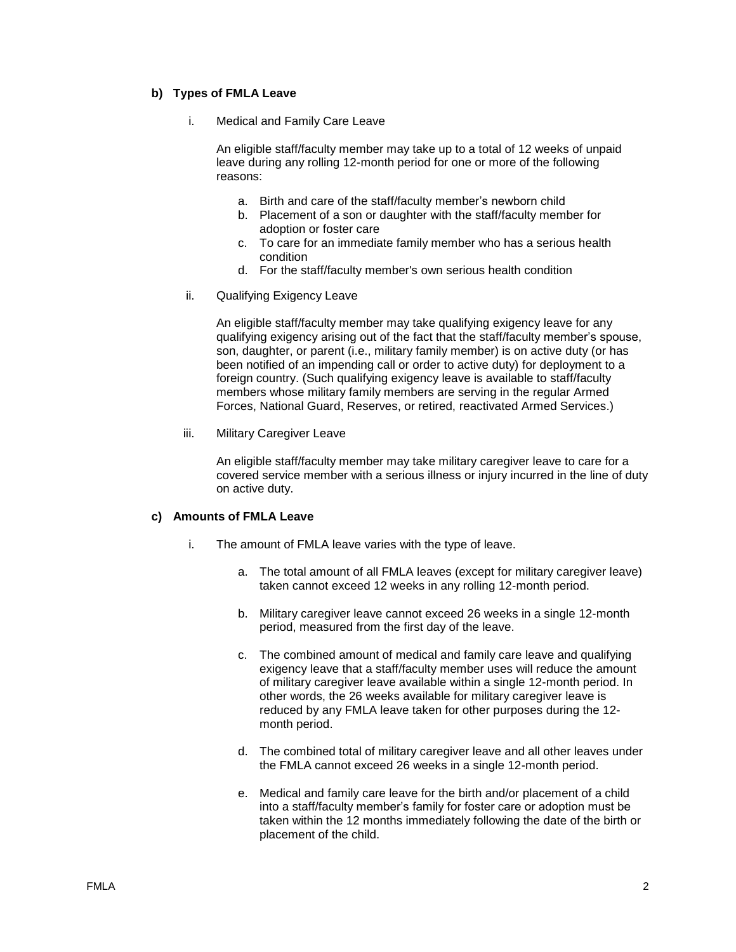### **b) Types of FMLA Leave**

i. Medical and Family Care Leave

An eligible staff/faculty member may take up to a total of 12 weeks of unpaid leave during any rolling 12-month period for one or more of the following reasons:

- a. Birth and care of the staff/faculty member's newborn child
- b. Placement of a son or daughter with the staff/faculty member for adoption or foster care
- c. To care for an immediate family member who has a serious health condition
- d. For the staff/faculty member's own serious health condition
- ii. Qualifying Exigency Leave

An eligible staff/faculty member may take qualifying exigency leave for any qualifying exigency arising out of the fact that the staff/faculty member's spouse, son, daughter, or parent (i.e., military family member) is on active duty (or has been notified of an impending call or order to active duty) for deployment to a foreign country. (Such qualifying exigency leave is available to staff/faculty members whose military family members are serving in the regular Armed Forces, National Guard, Reserves, or retired, reactivated Armed Services.)

iii. Military Caregiver Leave

An eligible staff/faculty member may take military caregiver leave to care for a covered service member with a serious illness or injury incurred in the line of duty on active duty.

#### **c) Amounts of FMLA Leave**

- i. The amount of FMLA leave varies with the type of leave.
	- a. The total amount of all FMLA leaves (except for military caregiver leave) taken cannot exceed 12 weeks in any rolling 12-month period.
	- b. Military caregiver leave cannot exceed 26 weeks in a single 12-month period, measured from the first day of the leave.
	- c. The combined amount of medical and family care leave and qualifying exigency leave that a staff/faculty member uses will reduce the amount of military caregiver leave available within a single 12-month period. In other words, the 26 weeks available for military caregiver leave is reduced by any FMLA leave taken for other purposes during the 12 month period.
	- d. The combined total of military caregiver leave and all other leaves under the FMLA cannot exceed 26 weeks in a single 12-month period.
	- e. Medical and family care leave for the birth and/or placement of a child into a staff/faculty member's family for foster care or adoption must be taken within the 12 months immediately following the date of the birth or placement of the child.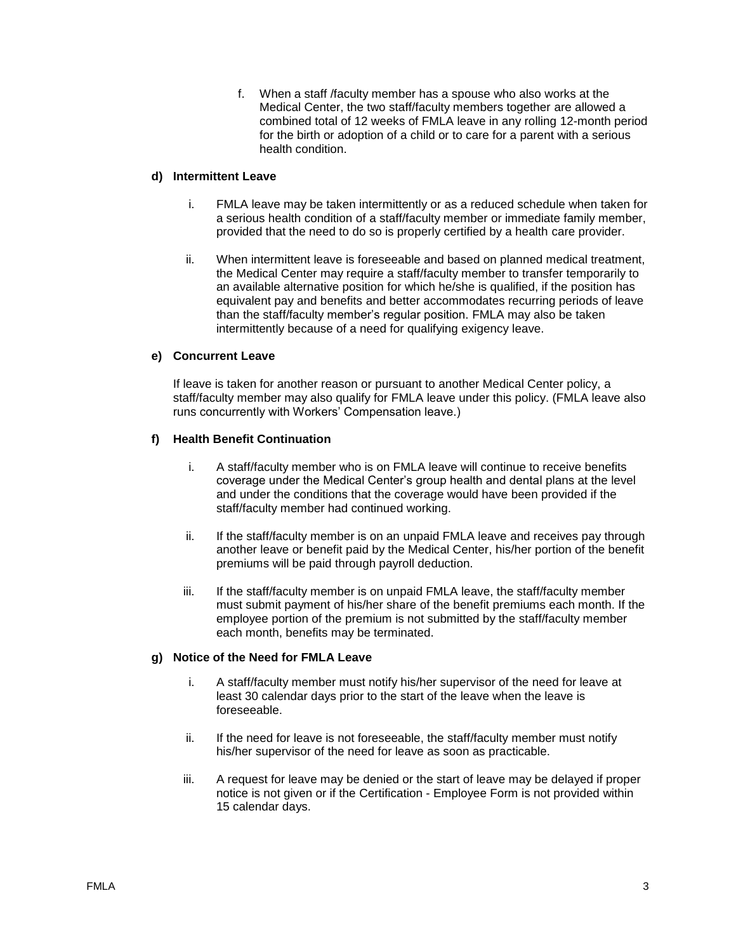f. When a staff /faculty member has a spouse who also works at the Medical Center, the two staff/faculty members together are allowed a combined total of 12 weeks of FMLA leave in any rolling 12-month period for the birth or adoption of a child or to care for a parent with a serious health condition.

## **d) Intermittent Leave**

- i. FMLA leave may be taken intermittently or as a reduced schedule when taken for a serious health condition of a staff/faculty member or immediate family member, provided that the need to do so is properly certified by a health care provider.
- ii. When intermittent leave is foreseeable and based on planned medical treatment, the Medical Center may require a staff/faculty member to transfer temporarily to an available alternative position for which he/she is qualified, if the position has equivalent pay and benefits and better accommodates recurring periods of leave than the staff/faculty member's regular position. FMLA may also be taken intermittently because of a need for qualifying exigency leave.

# **e) Concurrent Leave**

If leave is taken for another reason or pursuant to another Medical Center policy, a staff/faculty member may also qualify for FMLA leave under this policy. (FMLA leave also runs concurrently with Workers' Compensation leave.)

## **f) Health Benefit Continuation**

- i. A staff/faculty member who is on FMLA leave will continue to receive benefits coverage under the Medical Center's group health and dental plans at the level and under the conditions that the coverage would have been provided if the staff/faculty member had continued working.
- ii. If the staff/faculty member is on an unpaid FMLA leave and receives pay through another leave or benefit paid by the Medical Center, his/her portion of the benefit premiums will be paid through payroll deduction.
- iii. If the staff/faculty member is on unpaid FMLA leave, the staff/faculty member must submit payment of his/her share of the benefit premiums each month. If the employee portion of the premium is not submitted by the staff/faculty member each month, benefits may be terminated.

# **g) Notice of the Need for FMLA Leave**

- i. A staff/faculty member must notify his/her supervisor of the need for leave at least 30 calendar days prior to the start of the leave when the leave is foreseeable.
- ii. If the need for leave is not foreseeable, the staff/faculty member must notify his/her supervisor of the need for leave as soon as practicable.
- iii. A request for leave may be denied or the start of leave may be delayed if proper notice is not given or if the Certification - Employee Form is not provided within 15 calendar days.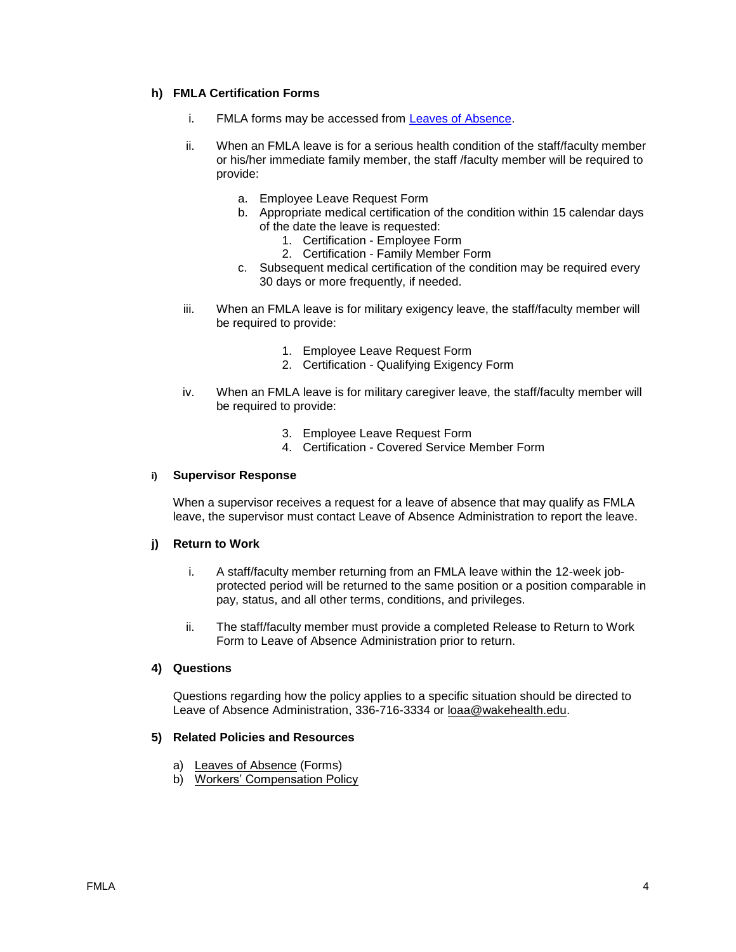## **h) FMLA Certification Forms**

- i. FMLA forms may be accessed from [Leaves of Absence.](http://intranet.wakehealth.edu/Departments/Human-Resources/Benefits/Leaves-of-Absence.htm#Family Member Health)
- ii. When an FMLA leave is for a serious health condition of the staff/faculty member or his/her immediate family member, the staff /faculty member will be required to provide:
	- a. Employee Leave Request Form
	- b. Appropriate medical certification of the condition within 15 calendar days of the date the leave is requested:
		- 1. Certification Employee Form
		- 2. Certification Family Member Form
	- c. Subsequent medical certification of the condition may be required every 30 days or more frequently, if needed.
- iii. When an FMLA leave is for military exigency leave, the staff/faculty member will be required to provide:
	- 1. [Employee Leave Request Form](http://intranet.wakehealth.edu/Departments/Human-Resources/Forms/NCBH/Leave-Request-Form.htm)
	- 2. Certification [Qualifying Exigency](http://intranet.wakehealth.edu/Departments/Human-Resources/Forms/Certification_-Exigency.htm) Form
- iv. When an FMLA leave is for military caregiver leave, the staff/faculty member will be required to provide:
	- 3. Employee [Leave Request Form](http://intranet.wakehealth.edu/Departments/Human-Resources/Forms/NCBH/Leave-Request-Form.htm)
	- 4. Certification [Covered Service](http://intranet.wakehealth.edu/Departments/Human-Resources/Forms/Certification_Servicemember.htm) Member Form

#### **i) Supervisor Response**

When a supervisor receives a request for a leave of absence that may qualify as FMLA leave, the supervisor must contact Leave of Absence Administration to report the leave.

#### **j) Return to Work**

- i. A staff/faculty member returning from an FMLA leave within the 12-week jobprotected period will be returned to the same position or a position comparable in pay, status, and all other terms, conditions, and privileges.
- ii. The staff/faculty member must provide a completed [Release to Return to Work](http://intranet.wakehealth.edu/Departments/Human-Resources/Forms/NCBH/Return-to-Work-Form.htm)  [Form](http://intranet.wakehealth.edu/Departments/Human-Resources/Forms/NCBH/Return-to-Work-Form.htm) to Leave of Absence Administration prior to return.

## **4) Questions**

Questions regarding how the policy applies to a specific situation should be directed to Leave of Absence Administration, 336-716-3334 or [loaa@wakehealth.edu.](mailto:loaa@wakehealth.edu)

#### **5) Related Policies and Resources**

- a) [Leaves of Absence](http://intranet.wakehealth.edu/Departments/Human-Resources/Benefits/Leaves-of-Absence.htm#Family Member Health) (Forms)
- b) [Workers' Compensation Policy](http://ishare.wakehealth.edu/GoverningPolicy/Policies/Workers%20Compensation.pdf)